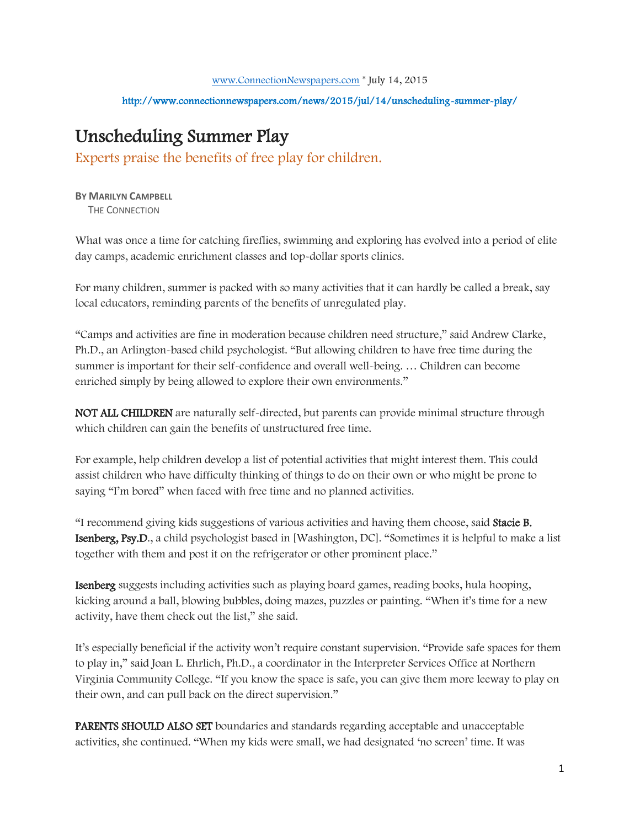## http://www.connectionnewspapers.com/news/2015/jul/14/unscheduling-summer-play/

## Unscheduling Summer Play

Experts praise the benefits of free play for children.

**BY MARILYN CAMPBELL**  THE CONNECTION

What was once a time for catching fireflies, swimming and exploring has evolved into a period of elite day camps, academic enrichment classes and top-dollar sports clinics.

For many children, summer is packed with so many activities that it can hardly be called a break, say local educators, reminding parents of the benefits of unregulated play.

"Camps and activities are fine in moderation because children need structure," said Andrew Clarke, Ph.D., an Arlington-based child psychologist. "But allowing children to have free time during the summer is important for their self-confidence and overall well-being. … Children can become enriched simply by being allowed to explore their own environments."

NOT ALL CHILDREN are naturally self-directed, but parents can provide minimal structure through which children can gain the benefits of unstructured free time.

For example, help children develop a list of potential activities that might interest them. This could assist children who have difficulty thinking of things to do on their own or who might be prone to saying "I'm bored" when faced with free time and no planned activities.

"I recommend giving kids suggestions of various activities and having them choose, said Stacie B. Isenberg, Psy.D., a child psychologist based in [Washington, DC]. "Sometimes it is helpful to make a list together with them and post it on the refrigerator or other prominent place."

Isenberg suggests including activities such as playing board games, reading books, hula hooping, kicking around a ball, blowing bubbles, doing mazes, puzzles or painting. "When it's time for a new activity, have them check out the list," she said.

It's especially beneficial if the activity won't require constant supervision. "Provide safe spaces for them to play in," said Joan L. Ehrlich, Ph.D., a coordinator in the Interpreter Services Office at Northern Virginia Community College. "If you know the space is safe, you can give them more leeway to play on their own, and can pull back on the direct supervision."

PARENTS SHOULD ALSO SET boundaries and standards regarding acceptable and unacceptable activities, she continued. "When my kids were small, we had designated 'no screen' time. It was